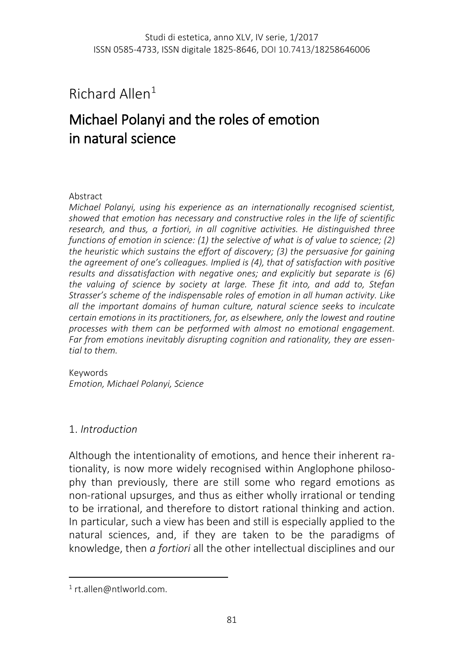Richard Allen[1](#page-0-0)

# Michael Polanyi and the roles of emotion in natural science

#### Abstract

*Michael Polanyi, using his experience as an internationally recognised scientist, showed that emotion has necessary and constructive roles in the life of scientific research, and thus, a fortiori, in all cognitive activities. He distinguished three functions of emotion in science: (1) the selective of what is of value to science; (2) the heuristic which sustains the effort of discovery; (3) the persuasive for gaining the agreement of one's colleagues. Implied is (4), that of satisfaction with positive results and dissatisfaction with negative ones; and explicitly but separate is (6) the valuing of science by society at large. These fit into, and add to, Stefan Strasser's scheme of the indispensable roles of emotion in all human activity. Like all the important domains of human culture, natural science seeks to inculcate certain emotions in its practitioners, for, as elsewhere, only the lowest and routine processes with them can be performed with almost no emotional engagement. Far from emotions inevitably disrupting cognition and rationality, they are essential to them.*

Keywords *Emotion, Michael Polanyi, Science*

## 1. *Introduction*

Although the intentionality of emotions, and hence their inherent rationality, is now more widely recognised within Anglophone philosophy than previously, there are still some who regard emotions as non-rational upsurges, and thus as either wholly irrational or tending to be irrational, and therefore to distort rational thinking and action. In particular, such a view has been and still is especially applied to the natural sciences, and, if they are taken to be the paradigms of knowledge, then *a fortiori* all the other intellectual disciplines and our

<span id="page-0-0"></span><sup>1</sup> rt.allen@ntlworld.com.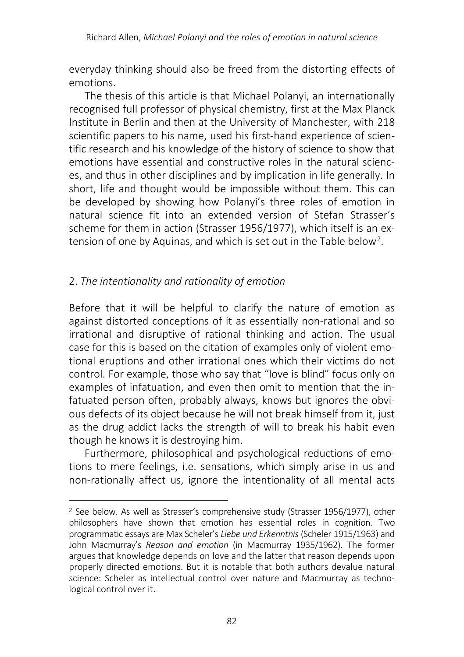everyday thinking should also be freed from the distorting effects of emotions.

The thesis of this article is that Michael Polanyi, an internationally recognised full professor of physical chemistry, first at the Max Planck Institute in Berlin and then at the University of Manchester, with 218 scientific papers to his name, used his first-hand experience of scientific research and his knowledge of the history of science to show that emotions have essential and constructive roles in the natural sciences, and thus in other disciplines and by implication in life generally. In short, life and thought would be impossible without them. This can be developed by showing how Polanyi's three roles of emotion in natural science fit into an extended version of Stefan Strasser's scheme for them in action (Strasser 1956/1977), which itself is an extension of one by Aquinas, and which is set out in the Table below[2.](#page-1-0)

## 2. *The intentionality and rationality of emotion*

 $\overline{\phantom{a}}$ 

Before that it will be helpful to clarify the nature of emotion as against distorted conceptions of it as essentially non-rational and so irrational and disruptive of rational thinking and action. The usual case for this is based on the citation of examples only of violent emotional eruptions and other irrational ones which their victims do not control. For example, those who say that "love is blind" focus only on examples of infatuation, and even then omit to mention that the infatuated person often, probably always, knows but ignores the obvious defects of its object because he will not break himself from it, just as the drug addict lacks the strength of will to break his habit even though he knows it is destroying him.

Furthermore, philosophical and psychological reductions of emotions to mere feelings, i.e. sensations, which simply arise in us and non-rationally affect us, ignore the intentionality of all mental acts

<span id="page-1-0"></span><sup>2</sup> See below. As well as Strasser's comprehensive study (Strasser 1956/1977), other philosophers have shown that emotion has essential roles in cognition. Two programmatic essays are Max Scheler's *Liebe und Erkenntnis* (Scheler 1915/1963) and John Macmurray's *Reason and emotion* (in Macmurray 1935/1962). The former argues that knowledge depends on love and the latter that reason depends upon properly directed emotions. But it is notable that both authors devalue natural science: Scheler as intellectual control over nature and Macmurray as technological control over it.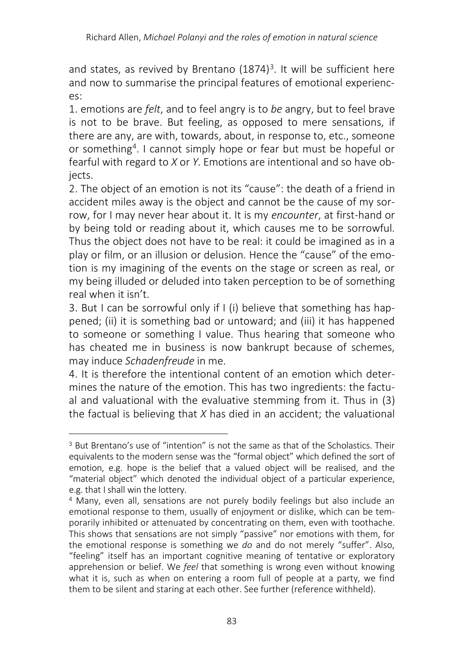and states, as revived by Brentano  $(1874)^3$  $(1874)^3$ . It will be sufficient here and now to summarise the principal features of emotional experiences:

1. emotions are *felt*, and to feel angry is to *be* angry, but to feel brave is not to be brave. But feeling, as opposed to mere sensations, if there are any, are with, towards, about, in response to, etc., someone or something[4.](#page-2-1) I cannot simply hope or fear but must be hopeful or fearful with regard to *X* or *Y*. Emotions are intentional and so have objects.

2. The object of an emotion is not its "cause": the death of a friend in accident miles away is the object and cannot be the cause of my sorrow, for I may never hear about it. It is my *encounter*, at first-hand or by being told or reading about it, which causes me to be sorrowful. Thus the object does not have to be real: it could be imagined as in a play or film, or an illusion or delusion. Hence the "cause" of the emotion is my imagining of the events on the stage or screen as real, or my being illuded or deluded into taken perception to be of something real when it isn't.

3. But I can be sorrowful only if I (i) believe that something has happened; (ii) it is something bad or untoward; and (iii) it has happened to someone or something I value. Thus hearing that someone who has cheated me in business is now bankrupt because of schemes, may induce *Schadenfreude* in me.

4. It is therefore the intentional content of an emotion which determines the nature of the emotion. This has two ingredients: the factual and valuational with the evaluative stemming from it. Thus in (3) the factual is believing that *X* has died in an accident; the valuational

<span id="page-2-0"></span> $\overline{a}$ <sup>3</sup> But Brentano's use of "intention" is not the same as that of the Scholastics. Their equivalents to the modern sense was the "formal object" which defined the sort of emotion, e.g. hope is the belief that a valued object will be realised, and the "material object" which denoted the individual object of a particular experience, e.g. that I shall win the lottery.

<span id="page-2-1"></span><sup>4</sup> Many, even all, sensations are not purely bodily feelings but also include an emotional response to them, usually of enjoyment or dislike, which can be temporarily inhibited or attenuated by concentrating on them, even with toothache. This shows that sensations are not simply "passive" nor emotions with them, for the emotional response is something we *do* and do not merely "suffer". Also, "feeling" itself has an important cognitive meaning of tentative or exploratory apprehension or belief. We *feel* that something is wrong even without knowing what it is, such as when on entering a room full of people at a party, we find them to be silent and staring at each other. See further (reference withheld).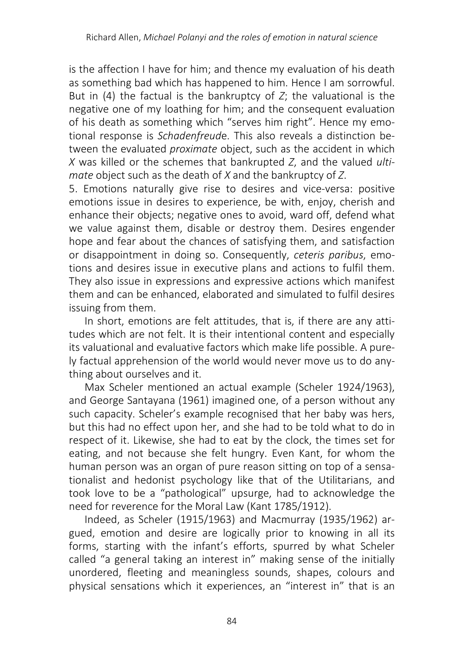is the affection I have for him; and thence my evaluation of his death as something bad which has happened to him. Hence I am sorrowful. But in (4) the factual is the bankruptcy of *Z*; the valuational is the negative one of my loathing for him; and the consequent evaluation of his death as something which "serves him right". Hence my emotional response is *Schadenfreud*e. This also reveals a distinction between the evaluated *proximate* object, such as the accident in which *X* was killed or the schemes that bankrupted *Z*, and the valued *ultimate* object such as the death of *X* and the bankruptcy of *Z*.

5. Emotions naturally give rise to desires and vice-versa: positive emotions issue in desires to experience, be with, enjoy, cherish and enhance their objects; negative ones to avoid, ward off, defend what we value against them, disable or destroy them. Desires engender hope and fear about the chances of satisfying them, and satisfaction or disappointment in doing so. Consequently, *ceteris paribus*, emotions and desires issue in executive plans and actions to fulfil them. They also issue in expressions and expressive actions which manifest them and can be enhanced, elaborated and simulated to fulfil desires issuing from them.

In short, emotions are felt attitudes, that is, if there are any attitudes which are not felt. It is their intentional content and especially its valuational and evaluative factors which make life possible. A purely factual apprehension of the world would never move us to do anything about ourselves and it.

Max Scheler mentioned an actual example (Scheler 1924/1963), and George Santayana (1961) imagined one, of a person without any such capacity. Scheler's example recognised that her baby was hers, but this had no effect upon her, and she had to be told what to do in respect of it. Likewise, she had to eat by the clock, the times set for eating, and not because she felt hungry. Even Kant, for whom the human person was an organ of pure reason sitting on top of a sensationalist and hedonist psychology like that of the Utilitarians, and took love to be a "pathological" upsurge, had to acknowledge the need for reverence for the Moral Law (Kant 1785/1912).

Indeed, as Scheler (1915/1963) and Macmurray (1935/1962) argued, emotion and desire are logically prior to knowing in all its forms, starting with the infant's efforts, spurred by what Scheler called "a general taking an interest in" making sense of the initially unordered, fleeting and meaningless sounds, shapes, colours and physical sensations which it experiences, an "interest in" that is an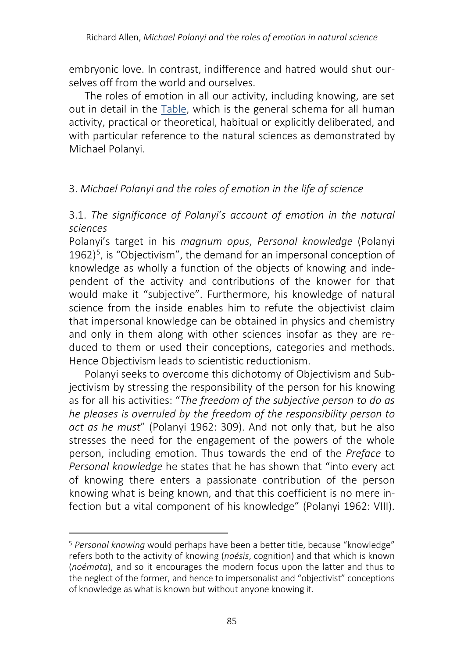embryonic love. In contrast, indifference and hatred would shut ourselves off from the world and ourselves.

The roles of emotion in all our activity, including knowing, are set out in detail in the Table, which is the general schema for all human activity, practical or theoretical, habitual or explicitly deliberated, and with particular reference to the natural sciences as demonstrated by Michael Polanyi.

## 3. *Michael Polanyi and the roles of emotion in the life of science*

3.1. *The significance of Polanyi's account of emotion in the natural sciences*

Polanyi's target in his *magnum opus*, *Personal knowledge* (Polanyi 1962)<sup>[5](#page-4-0)</sup>, is "Objectivism", the demand for an impersonal conception of knowledge as wholly a function of the objects of knowing and independent of the activity and contributions of the knower for that would make it "subjective". Furthermore, his knowledge of natural science from the inside enables him to refute the objectivist claim that impersonal knowledge can be obtained in physics and chemistry and only in them along with other sciences insofar as they are reduced to them or used their conceptions, categories and methods. Hence Objectivism leads to scientistic reductionism.

Polanyi seeks to overcome this dichotomy of Objectivism and Subjectivism by stressing the responsibility of the person for his knowing as for all his activities: "*The freedom of the subjective person to do as he pleases is overruled by the freedom of the responsibility person to act as he must*" (Polanyi 1962: 309). And not only that, but he also stresses the need for the engagement of the powers of the whole person, including emotion. Thus towards the end of the *Preface* to *Personal knowledge* he states that he has shown that "into every act of knowing there enters a passionate contribution of the person knowing what is being known, and that this coefficient is no mere infection but a vital component of his knowledge" (Polanyi 1962: VIII).

<span id="page-4-0"></span><sup>5</sup> *Personal knowing* would perhaps have been a better title, because "knowledge" refers both to the activity of knowing (*noésis*, cognition) and that which is known (*noémata*), and so it encourages the modern focus upon the latter and thus to the neglect of the former, and hence to impersonalist and "objectivist" conceptions of knowledge as what is known but without anyone knowing it.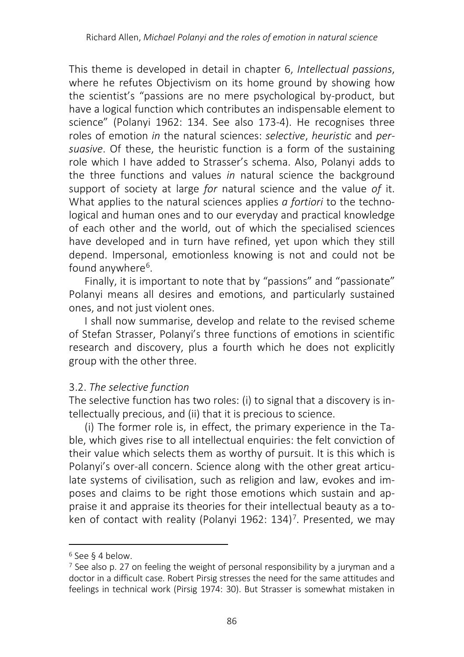This theme is developed in detail in chapter 6, *Intellectual passions*, where he refutes Objectivism on its home ground by showing how the scientist's "passions are no mere psychological by-product, but have a logical function which contributes an indispensable element to science" (Polanyi 1962: 134. See also 173-4). He recognises three roles of emotion *in* the natural sciences: *selective*, *heuristic* and *persuasive*. Of these, the heuristic function is a form of the sustaining role which I have added to Strasser's schema. Also, Polanyi adds to the three functions and values *in* natural science the background support of society at large *for* natural science and the value *of* it. What applies to the natural sciences applies *a fortiori* to the technological and human ones and to our everyday and practical knowledge of each other and the world, out of which the specialised sciences have developed and in turn have refined, yet upon which they still depend. Impersonal, emotionless knowing is not and could not be found anywhere<sup>6</sup>.

Finally, it is important to note that by "passions" and "passionate" Polanyi means all desires and emotions, and particularly sustained ones, and not just violent ones.

I shall now summarise, develop and relate to the revised scheme of Stefan Strasser, Polanyi's three functions of emotions in scientific research and discovery, plus a fourth which he does not explicitly group with the other three.

## 3.2. *The selective function*

The selective function has two roles: (i) to signal that a discovery is intellectually precious, and (ii) that it is precious to science.

(i) The former role is, in effect, the primary experience in the Table, which gives rise to all intellectual enquiries: the felt conviction of their value which selects them as worthy of pursuit. It is this which is Polanyi's over-all concern. Science along with the other great articulate systems of civilisation, such as religion and law, evokes and imposes and claims to be right those emotions which sustain and appraise it and appraise its theories for their intellectual beauty as a to-ken of contact with reality (Polanyi 1962: 134)<sup>[7](#page-5-1)</sup>. Presented, we may

<span id="page-5-0"></span><sup>6</sup> See § 4 below.

<span id="page-5-1"></span><sup>7</sup> See also p. 27 on feeling the weight of personal responsibility by a juryman and a doctor in a difficult case. Robert Pirsig stresses the need for the same attitudes and feelings in technical work (Pirsig 1974: 30). But Strasser is somewhat mistaken in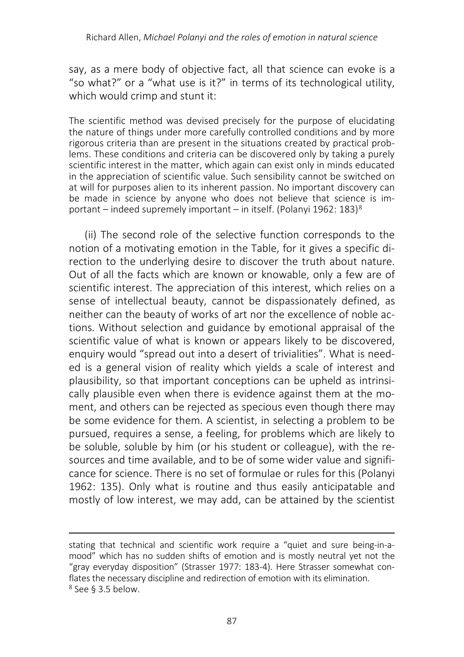say, as a mere body of objective fact, all that science can evoke is a "so what?" or a "what use is it?" in terms of its technological utility, which would crimp and stunt it:

The scientific method was devised precisely for the purpose of elucidating the nature of things under more carefully controlled conditions and by more rigorous criteria than are present in the situations created by practical problems. These conditions and criteria can be discovered only by taking a purely scientific interest in the matter, which again can exist only in minds educated in the appreciation of scientific value. Such sensibility cannot be switched on at will for purposes alien to its inherent passion. No important discovery can be made in science by anyone who does not believe that science is im-portant – indeed supremely important – in itself. (Polanyi 1962: 1[8](#page-6-0)3)<sup>8</sup>

(ii) The second role of the selective function corresponds to the notion of a motivating emotion in the Table, for it gives a specific direction to the underlying desire to discover the truth about nature. Out of all the facts which are known or knowable, only a few are of scientific interest. The appreciation of this interest, which relies on a sense of intellectual beauty, cannot be dispassionately defined, as neither can the beauty of works of art nor the excellence of noble actions. Without selection and guidance by emotional appraisal of the scientific value of what is known or appears likely to be discovered, enquiry would "spread out into a desert of trivialities". What is needed is a general vision of reality which yields a scale of interest and plausibility, so that important conceptions can be upheld as intrinsically plausible even when there is evidence against them at the moment, and others can be rejected as specious even though there may be some evidence for them. A scientist, in selecting a problem to be pursued, requires a sense, a feeling, for problems which are likely to be soluble, soluble by him (or his student or colleague), with the resources and time available, and to be of some wider value and significance for science. There is no set of formulae or rules for this (Polanyi 1962: 135). Only what is routine and thus easily anticipatable and mostly of low interest, we may add, can be attained by the scientist

<span id="page-6-0"></span>stating that technical and scientific work require a "quiet and sure being-in-amood" which has no sudden shifts of emotion and is mostly neutral yet not the "gray everyday disposition" (Strasser 1977: 183-4). Here Strasser somewhat conflates the necessary discipline and redirection of emotion with its elimination. <sup>8</sup> See § 3.5 below.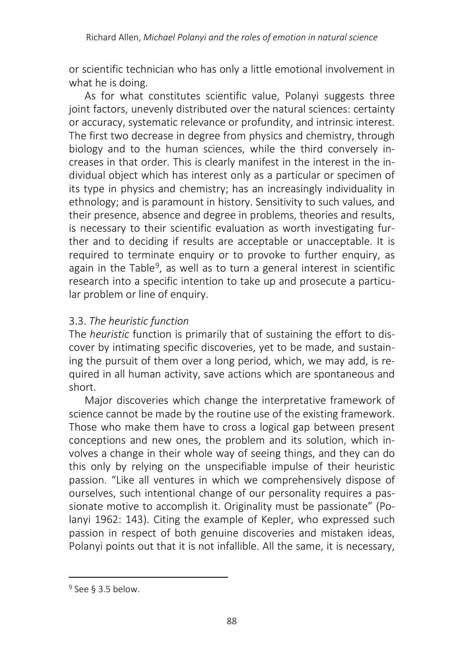or scientific technician who has only a little emotional involvement in what he is doing.

As for what constitutes scientific value, Polanyi suggests three joint factors, unevenly distributed over the natural sciences: certainty or accuracy, systematic relevance or profundity, and intrinsic interest. The first two decrease in degree from physics and chemistry, through biology and to the human sciences, while the third conversely increases in that order. This is clearly manifest in the interest in the individual object which has interest only as a particular or specimen of its type in physics and chemistry; has an increasingly individuality in ethnology; and is paramount in history. Sensitivity to such values, and their presence, absence and degree in problems, theories and results, is necessary to their scientific evaluation as worth investigating further and to deciding if results are acceptable or unacceptable. It is required to terminate enquiry or to provoke to further enquiry, as again in the Table<sup>[9](#page-7-0)</sup>, as well as to turn a general interest in scientific research into a specific intention to take up and prosecute a particular problem or line of enquiry.

## 3.3. *The heuristic function*

The *heuristic* function is primarily that of sustaining the effort to discover by intimating specific discoveries, yet to be made, and sustaining the pursuit of them over a long period, which, we may add, is required in all human activity, save actions which are spontaneous and short.

Major discoveries which change the interpretative framework of science cannot be made by the routine use of the existing framework. Those who make them have to cross a logical gap between present conceptions and new ones, the problem and its solution, which involves a change in their whole way of seeing things, and they can do this only by relying on the unspecifiable impulse of their heuristic passion. "Like all ventures in which we comprehensively dispose of ourselves, such intentional change of our personality requires a passionate motive to accomplish it. Originality must be passionate" (Polanyi 1962: 143). Citing the example of Kepler, who expressed such passion in respect of both genuine discoveries and mistaken ideas, Polanyi points out that it is not infallible. All the same, it is necessary,

<span id="page-7-0"></span><sup>9</sup> See § 3.5 below.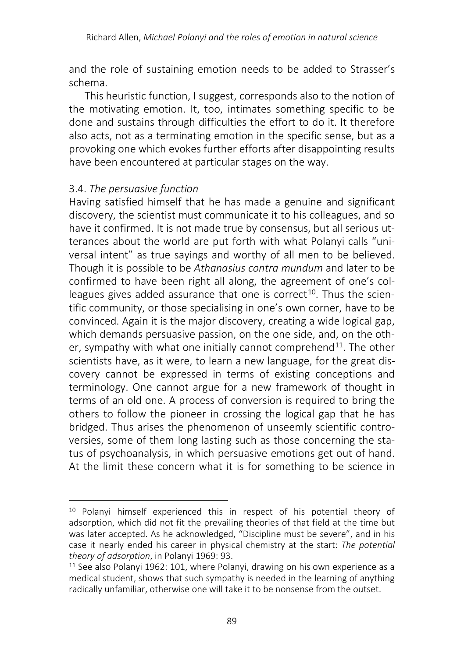and the role of sustaining emotion needs to be added to Strasser's schema.

This heuristic function, I suggest, corresponds also to the notion of the motivating emotion. It, too, intimates something specific to be done and sustains through difficulties the effort to do it. It therefore also acts, not as a terminating emotion in the specific sense, but as a provoking one which evokes further efforts after disappointing results have been encountered at particular stages on the way.

## 3.4. *The persuasive function*

Having satisfied himself that he has made a genuine and significant discovery, the scientist must communicate it to his colleagues, and so have it confirmed. It is not made true by consensus, but all serious utterances about the world are put forth with what Polanyi calls "universal intent" as true sayings and worthy of all men to be believed. Though it is possible to be *Athanasius contra mundum* and later to be confirmed to have been right all along, the agreement of one's colleagues gives added assurance that one is correct<sup>10</sup>. Thus the scientific community, or those specialising in one's own corner, have to be convinced. Again it is the major discovery, creating a wide logical gap, which demands persuasive passion, on the one side, and, on the oth-er, sympathy with what one initially cannot comprehend<sup>[11](#page-8-1)</sup>. The other scientists have, as it were, to learn a new language, for the great discovery cannot be expressed in terms of existing conceptions and terminology. One cannot argue for a new framework of thought in terms of an old one. A process of conversion is required to bring the others to follow the pioneer in crossing the logical gap that he has bridged. Thus arises the phenomenon of unseemly scientific controversies, some of them long lasting such as those concerning the status of psychoanalysis, in which persuasive emotions get out of hand. At the limit these concern what it is for something to be science in

<span id="page-8-0"></span> $\overline{\phantom{a}}$ <sup>10</sup> Polanyi himself experienced this in respect of his potential theory of adsorption, which did not fit the prevailing theories of that field at the time but was later accepted. As he acknowledged, "Discipline must be severe", and in his case it nearly ended his career in physical chemistry at the start: *The potential theory of adsorption*, in Polanyi 1969: 93.

<span id="page-8-1"></span><sup>&</sup>lt;sup>11</sup> See also Polanyi 1962: 101, where Polanyi, drawing on his own experience as a medical student, shows that such sympathy is needed in the learning of anything radically unfamiliar, otherwise one will take it to be nonsense from the outset.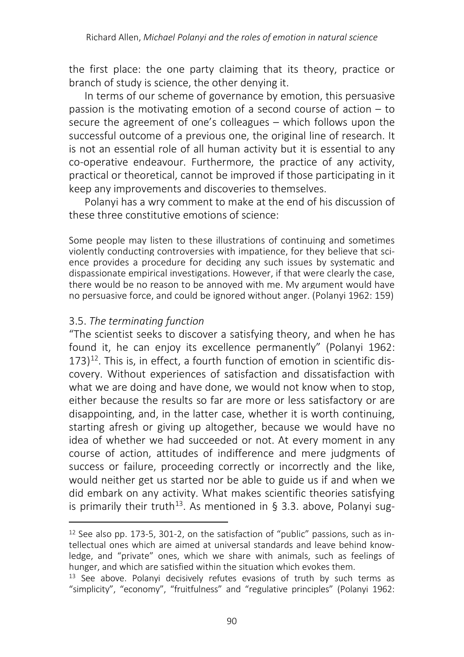the first place: the one party claiming that its theory, practice or branch of study is science, the other denying it.

In terms of our scheme of governance by emotion, this persuasive passion is the motivating emotion of a second course of action – to secure the agreement of one's colleagues – which follows upon the successful outcome of a previous one, the original line of research. It is not an essential role of all human activity but it is essential to any co-operative endeavour. Furthermore, the practice of any activity, practical or theoretical, cannot be improved if those participating in it keep any improvements and discoveries to themselves.

Polanyi has a wry comment to make at the end of his discussion of these three constitutive emotions of science:

Some people may listen to these illustrations of continuing and sometimes violently conducting controversies with impatience, for they believe that science provides a procedure for deciding any such issues by systematic and dispassionate empirical investigations. However, if that were clearly the case, there would be no reason to be annoyed with me. My argument would have no persuasive force, and could be ignored without anger. (Polanyi 1962: 159)

## 3.5. *The terminating function*

 $\overline{a}$ 

"The scientist seeks to discover a satisfying theory, and when he has found it, he can enjoy its excellence permanently" (Polanyi 1962: 173)[12.](#page-9-0) This is, in effect, a fourth function of emotion in scientific discovery. Without experiences of satisfaction and dissatisfaction with what we are doing and have done, we would not know when to stop, either because the results so far are more or less satisfactory or are disappointing, and, in the latter case, whether it is worth continuing, starting afresh or giving up altogether, because we would have no idea of whether we had succeeded or not. At every moment in any course of action, attitudes of indifference and mere judgments of success or failure, proceeding correctly or incorrectly and the like, would neither get us started nor be able to guide us if and when we did embark on any activity. What makes scientific theories satisfying is primarily their truth<sup>13</sup>. As mentioned in § 3.3. above, Polanyi sug-

<span id="page-9-0"></span><sup>12</sup> See also pp. 173-5, 301-2, on the satisfaction of "public" passions, such as intellectual ones which are aimed at universal standards and leave behind knowledge, and "private" ones, which we share with animals, such as feelings of hunger, and which are satisfied within the situation which evokes them.

<span id="page-9-1"></span> $13$  See above. Polanyi decisively refutes evasions of truth by such terms as "simplicity", "economy", "fruitfulness" and "regulative principles" (Polanyi 1962: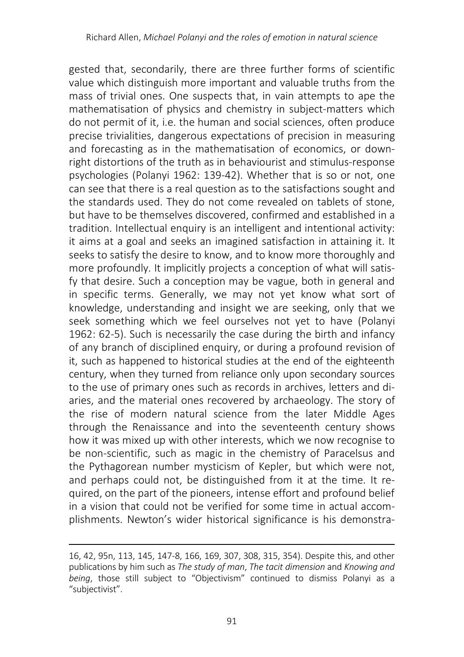gested that, secondarily, there are three further forms of scientific value which distinguish more important and valuable truths from the mass of trivial ones. One suspects that, in vain attempts to ape the mathematisation of physics and chemistry in subject-matters which do not permit of it, i.e. the human and social sciences, often produce precise trivialities, dangerous expectations of precision in measuring and forecasting as in the mathematisation of economics, or downright distortions of the truth as in behaviourist and stimulus-response psychologies (Polanyi 1962: 139-42). Whether that is so or not, one can see that there is a real question as to the satisfactions sought and the standards used. They do not come revealed on tablets of stone, but have to be themselves discovered, confirmed and established in a tradition. Intellectual enquiry is an intelligent and intentional activity: it aims at a goal and seeks an imagined satisfaction in attaining it. It seeks to satisfy the desire to know, and to know more thoroughly and more profoundly. It implicitly projects a conception of what will satisfy that desire. Such a conception may be vague, both in general and in specific terms. Generally, we may not yet know what sort of knowledge, understanding and insight we are seeking, only that we seek something which we feel ourselves not yet to have (Polanyi 1962: 62-5). Such is necessarily the case during the birth and infancy of any branch of disciplined enquiry, or during a profound revision of it, such as happened to historical studies at the end of the eighteenth century, when they turned from reliance only upon secondary sources to the use of primary ones such as records in archives, letters and diaries, and the material ones recovered by archaeology. The story of the rise of modern natural science from the later Middle Ages through the Renaissance and into the seventeenth century shows how it was mixed up with other interests, which we now recognise to be non-scientific, such as magic in the chemistry of Paracelsus and the Pythagorean number mysticism of Kepler, but which were not, and perhaps could not, be distinguished from it at the time. It required, on the part of the pioneers, intense effort and profound belief in a vision that could not be verified for some time in actual accomplishments. Newton's wider historical significance is his demonstra-

<sup>16, 42, 95</sup>n, 113, 145, 147-8, 166, 169, 307, 308, 315, 354). Despite this, and other publications by him such as *The study of man*, *The tacit dimension* and *Knowing and being*, those still subject to "Objectivism" continued to dismiss Polanyi as a "subjectivist".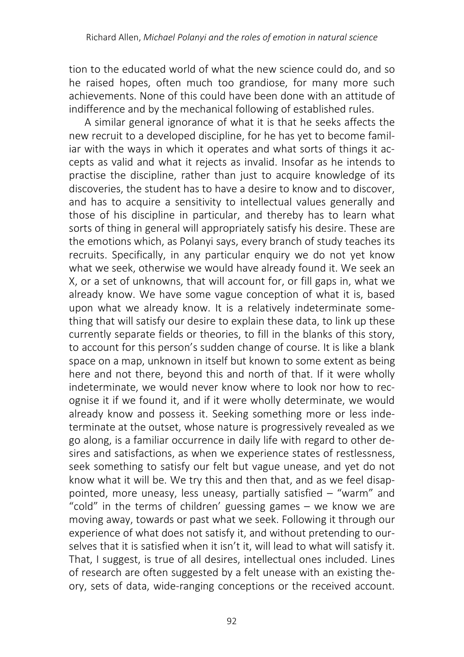tion to the educated world of what the new science could do, and so he raised hopes, often much too grandiose, for many more such achievements. None of this could have been done with an attitude of indifference and by the mechanical following of established rules.

A similar general ignorance of what it is that he seeks affects the new recruit to a developed discipline, for he has yet to become familiar with the ways in which it operates and what sorts of things it accepts as valid and what it rejects as invalid. Insofar as he intends to practise the discipline, rather than just to acquire knowledge of its discoveries, the student has to have a desire to know and to discover, and has to acquire a sensitivity to intellectual values generally and those of his discipline in particular, and thereby has to learn what sorts of thing in general will appropriately satisfy his desire. These are the emotions which, as Polanyi says, every branch of study teaches its recruits. Specifically, in any particular enquiry we do not yet know what we seek, otherwise we would have already found it. We seek an X, or a set of unknowns, that will account for, or fill gaps in, what we already know. We have some vague conception of what it is, based upon what we already know. It is a relatively indeterminate something that will satisfy our desire to explain these data, to link up these currently separate fields or theories, to fill in the blanks of this story, to account for this person's sudden change of course. It is like a blank space on a map, unknown in itself but known to some extent as being here and not there, beyond this and north of that. If it were wholly indeterminate, we would never know where to look nor how to recognise it if we found it, and if it were wholly determinate, we would already know and possess it. Seeking something more or less indeterminate at the outset, whose nature is progressively revealed as we go along, is a familiar occurrence in daily life with regard to other desires and satisfactions, as when we experience states of restlessness, seek something to satisfy our felt but vague unease, and yet do not know what it will be. We try this and then that, and as we feel disappointed, more uneasy, less uneasy, partially satisfied – "warm" and "cold" in the terms of children' guessing games – we know we are moving away, towards or past what we seek. Following it through our experience of what does not satisfy it, and without pretending to ourselves that it is satisfied when it isn't it, will lead to what will satisfy it. That, I suggest, is true of all desires, intellectual ones included. Lines of research are often suggested by a felt unease with an existing theory, sets of data, wide-ranging conceptions or the received account.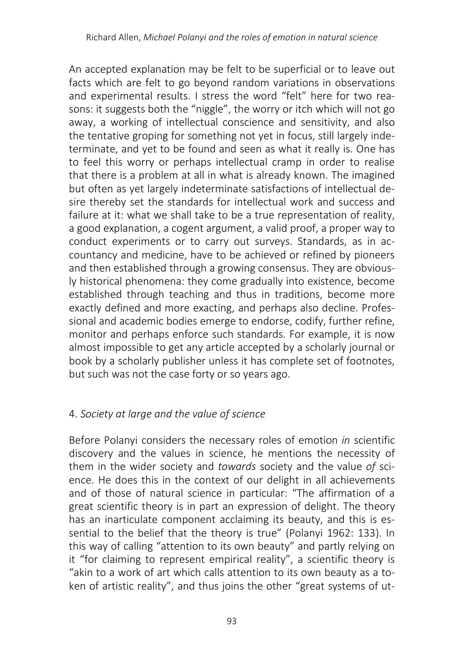An accepted explanation may be felt to be superficial or to leave out facts which are felt to go beyond random variations in observations and experimental results. I stress the word "felt" here for two reasons: it suggests both the "niggle", the worry or itch which will not go away, a working of intellectual conscience and sensitivity, and also the tentative groping for something not yet in focus, still largely indeterminate, and yet to be found and seen as what it really is. One has to feel this worry or perhaps intellectual cramp in order to realise that there is a problem at all in what is already known. The imagined but often as yet largely indeterminate satisfactions of intellectual desire thereby set the standards for intellectual work and success and failure at it: what we shall take to be a true representation of reality, a good explanation, a cogent argument, a valid proof, a proper way to conduct experiments or to carry out surveys. Standards, as in accountancy and medicine, have to be achieved or refined by pioneers and then established through a growing consensus. They are obviously historical phenomena: they come gradually into existence, become established through teaching and thus in traditions, become more exactly defined and more exacting, and perhaps also decline. Professional and academic bodies emerge to endorse, codify, further refine, monitor and perhaps enforce such standards. For example, it is now almost impossible to get any article accepted by a scholarly journal or book by a scholarly publisher unless it has complete set of footnotes, but such was not the case forty or so years ago.

## 4. *Society at large and the value of science*

Before Polanyi considers the necessary roles of emotion *in* scientific discovery and the values in science, he mentions the necessity of them in the wider society and *towards* society and the value *of* science. He does this in the context of our delight in all achievements and of those of natural science in particular: "The affirmation of a great scientific theory is in part an expression of delight. The theory has an inarticulate component acclaiming its beauty, and this is essential to the belief that the theory is true" (Polanyi 1962: 133). In this way of calling "attention to its own beauty" and partly relying on it "for claiming to represent empirical reality", a scientific theory is "akin to a work of art which calls attention to its own beauty as a token of artistic reality", and thus joins the other "great systems of ut-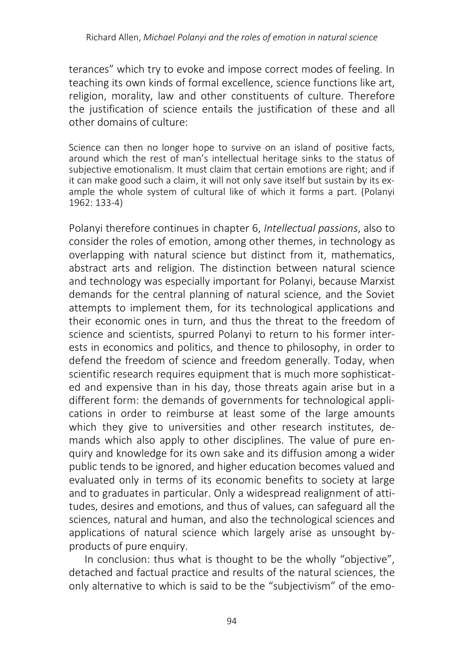terances" which try to evoke and impose correct modes of feeling. In teaching its own kinds of formal excellence, science functions like art, religion, morality, law and other constituents of culture. Therefore the justification of science entails the justification of these and all other domains of culture:

Science can then no longer hope to survive on an island of positive facts, around which the rest of man's intellectual heritage sinks to the status of subjective emotionalism. It must claim that certain emotions are right; and if it can make good such a claim, it will not only save itself but sustain by its example the whole system of cultural like of which it forms a part. (Polanyi 1962: 133-4)

Polanyi therefore continues in chapter 6, *Intellectual passions*, also to consider the roles of emotion, among other themes, in technology as overlapping with natural science but distinct from it, mathematics, abstract arts and religion. The distinction between natural science and technology was especially important for Polanyi, because Marxist demands for the central planning of natural science, and the Soviet attempts to implement them, for its technological applications and their economic ones in turn, and thus the threat to the freedom of science and scientists, spurred Polanyi to return to his former interests in economics and politics, and thence to philosophy, in order to defend the freedom of science and freedom generally. Today, when scientific research requires equipment that is much more sophisticated and expensive than in his day, those threats again arise but in a different form: the demands of governments for technological applications in order to reimburse at least some of the large amounts which they give to universities and other research institutes, demands which also apply to other disciplines. The value of pure enquiry and knowledge for its own sake and its diffusion among a wider public tends to be ignored, and higher education becomes valued and evaluated only in terms of its economic benefits to society at large and to graduates in particular. Only a widespread realignment of attitudes, desires and emotions, and thus of values, can safeguard all the sciences, natural and human, and also the technological sciences and applications of natural science which largely arise as unsought byproducts of pure enquiry.

In conclusion: thus what is thought to be the wholly "objective", detached and factual practice and results of the natural sciences, the only alternative to which is said to be the "subjectivism" of the emo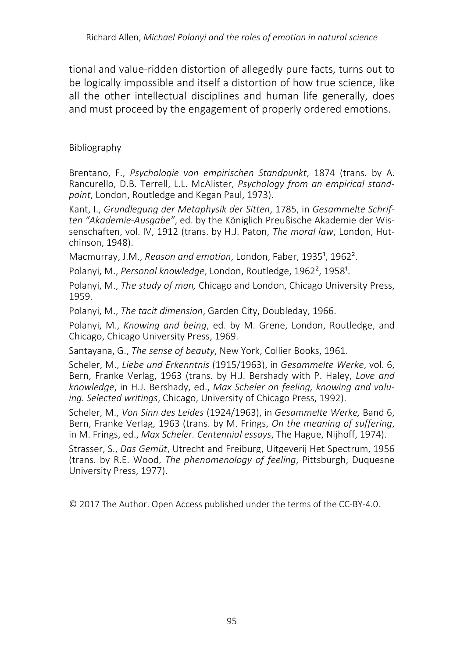tional and value-ridden distortion of allegedly pure facts, turns out to be logically impossible and itself a distortion of how true science, like all the other intellectual disciplines and human life generally, does and must proceed by the engagement of properly ordered emotions.

#### Bibliography

Brentano, F., *Psychologie von empirischen Standpunkt*, 1874 (trans. by A. Rancurello, D.B. Terrell, L.L. McAlister, *Psychology from an empirical standpoint*, London, Routledge and Kegan Paul, 1973).

Kant, I., *Grundlegung der Metaphysik der Sitten*, 1785, in *Gesammelte Schriften "Akademie-Ausgabe"*, ed. by the Königlich Preußische Akademie der Wissenschaften, vol. IV, 1912 (trans. by H.J. Paton, *The moral law*, London, Hutchinson, 1948).

Macmurray, J.M., *Reason and emotion*, London, Faber, 1935<sup>1</sup>, 1962<sup>2</sup>.

Polanyi, M., *Personal knowledge*, London, Routledge, 1962<sup>2</sup>, 1958<sup>1</sup>.

Polanyi, M., *The study of man,* Chicago and London, Chicago University Press, 1959.

Polanyi, M., *The tacit dimension*, Garden City, Doubleday, 1966.

Polanyi, M., *Knowing and being*, ed. by M. Grene, London, Routledge, and Chicago, Chicago University Press, 1969.

Santayana, G., *The sense of beauty*, New York, Collier Books, 1961.

Scheler, M., *Liebe und Erkenntnis* (1915/1963), in *Gesammelte Werke*, vol. 6, Bern, Franke Verlag, 1963 (trans. by H.J. Bershady with P. Haley, *Love and knowledge*, in H.J. Bershady, ed., *Max Scheler on feeling, knowing and valuing. Selected writings*, Chicago, University of Chicago Press, 1992).

Scheler, M., *Von Sinn des Leides* (1924/1963), in *Gesammelte Werke,* Band 6, Bern, Franke Verlag, 1963 (trans. by M. Frings, *On the meaning of suffering*, in M. Frings, ed., *Max Scheler. Centennial essays*, The Hague, Nijhoff, 1974).

Strasser, S., *Das Gemüt*, Utrecht and Freiburg, Uitgeverij Het Spectrum, 1956 (trans. by R.E. Wood, *The phenomenology of feeling*, Pittsburgh, Duquesne University Press, 1977).

© 2017 The Author. Open Access published under the terms of the CC-BY-4.0.